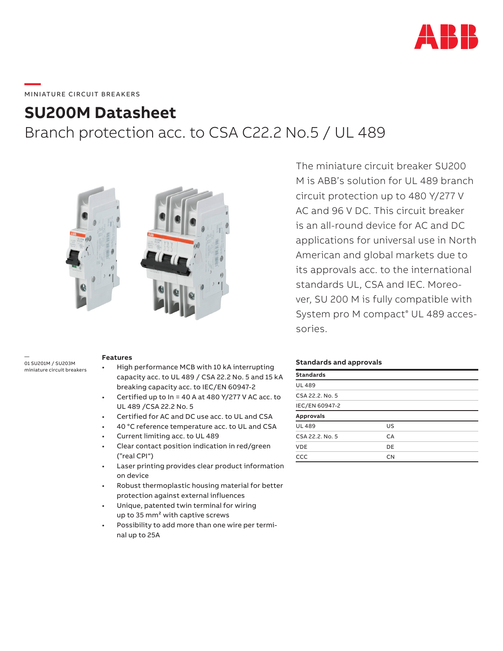

# **SU200M Datasheet**

Branch protection acc. to CSA C22.2 No.5 / UL 489



— 01 SU201M / SU203M miniature circuit breakers

#### **Features**

- High performance MCB with 10 kA interrupting capacity acc. to UL 489 / CSA 22.2 No. 5 and 15 kA breaking capacity acc. to IEC/EN 60947-2
- Certified up to  $In = 40$  A at 480 Y/277 V AC acc. to UL 489 /CSA 22.2 No. 5
- Certified for AC and DC use acc. to UL and CSA
- 40 °C reference temperature acc. to UL and CSA
- Current limiting acc. to UL 489
- Clear contact position indication in red/green ("real CPI")
- Laser printing provides clear product information on device
- Robust thermoplastic housing material for better protection against external influences
- Unique, patented twin terminal for wiring up to 35 mm² with captive screws
- Possibility to add more than one wire per terminal up to 25A

The miniature circuit breaker SU200 M is ABB's solution for UL 489 branch circuit protection up to 480 Y/277 V AC and 96 V DC. This circuit breaker is an all-round device for AC and DC applications for universal use in North American and global markets due to its approvals acc. to the international standards UL, CSA and IEC. Moreover, SU 200 M is fully compatible with System pro M compact® UL 489 accessories.

#### **Standards and approvals**

| US        |  |
|-----------|--|
| <b>CA</b> |  |
| DE        |  |
| <b>CN</b> |  |
|           |  |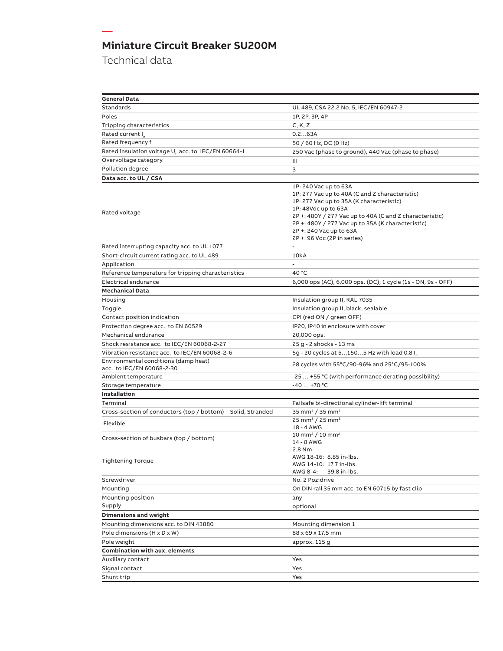Technical data

**—**

| <b>General Data</b>                                               |                                                                                                                                                                                                                                                                                                                      |
|-------------------------------------------------------------------|----------------------------------------------------------------------------------------------------------------------------------------------------------------------------------------------------------------------------------------------------------------------------------------------------------------------|
| Standards                                                         | UL 489, CSA 22.2 No. 5, IEC/EN 60947-2                                                                                                                                                                                                                                                                               |
| Poles                                                             | 1P, 2P, 3P, 4P                                                                                                                                                                                                                                                                                                       |
| Tripping characteristics                                          | C, K, Z                                                                                                                                                                                                                                                                                                              |
| Rated current I                                                   | 0.263A                                                                                                                                                                                                                                                                                                               |
| Rated frequency f                                                 | 50 / 60 Hz, DC (0 Hz)                                                                                                                                                                                                                                                                                                |
| Rated insulation voltage U <sub>i</sub> acc. to IEC/EN 60664-1    | 250 Vac (phase to ground), 440 Vac (phase to phase)                                                                                                                                                                                                                                                                  |
| Overvoltage category                                              | Ш                                                                                                                                                                                                                                                                                                                    |
| Pollution degree                                                  | 3                                                                                                                                                                                                                                                                                                                    |
| Data acc. to UL / CSA                                             |                                                                                                                                                                                                                                                                                                                      |
| Rated voltage                                                     | 1P: 240 Vac up to 63A<br>1P: 277 Vac up to 40A (C and Z characteristic)<br>1P: 277 Vac up to 35A (K characteristic)<br>1P: 48Vdc up to 63A<br>2P +: 480Y / 277 Vac up to 40A (C and Z characteristic)<br>2P +: 480Y / 277 Vac up to 35A (K characteristic)<br>2P +: 240 Vac up to 63A<br>2P +: 96 Vdc (2P in series) |
| Rated interrupting capacity acc. to UL 1077                       |                                                                                                                                                                                                                                                                                                                      |
| Short-circuit current rating acc. to UL 489                       | 10kA                                                                                                                                                                                                                                                                                                                 |
| Application                                                       | ä,                                                                                                                                                                                                                                                                                                                   |
| Reference temperature for tripping characteristics                | 40 °C                                                                                                                                                                                                                                                                                                                |
| Electrical endurance                                              | 6,000 ops (AC), 6,000 ops. (DC); 1 cycle (1s - ON, 9s - OFF)                                                                                                                                                                                                                                                         |
| <b>Mechanical Data</b>                                            |                                                                                                                                                                                                                                                                                                                      |
| Housing                                                           | Insulation group II, RAL 7035                                                                                                                                                                                                                                                                                        |
| Toggle                                                            | Insulation group II, black, sealable                                                                                                                                                                                                                                                                                 |
| Contact position indication                                       | CPI (red ON / green OFF)                                                                                                                                                                                                                                                                                             |
| Protection degree acc. to EN 60529                                | IP20, IP40 in enclosure with cover                                                                                                                                                                                                                                                                                   |
| Mechanical endurance                                              | 20,000 ops.                                                                                                                                                                                                                                                                                                          |
| Shock resistance acc. to IEC/EN 60068-2-27                        | 25 g - 2 shocks - 13 ms                                                                                                                                                                                                                                                                                              |
| Vibration resistance acc. to IEC/EN 60068-2-6                     | 5g - 20 cycles at 51505 Hz with load 0.8 I                                                                                                                                                                                                                                                                           |
| Environmental conditions (damp heat)<br>acc. to IEC/EN 60068-2-30 | 28 cycles with 55°C/90-96% and 25°C/95-100%                                                                                                                                                                                                                                                                          |
| Ambient temperature                                               | -25  +55 °C (with performance derating possibility)                                                                                                                                                                                                                                                                  |
| Storage temperature                                               | $-40+70$ °C                                                                                                                                                                                                                                                                                                          |
| Installation                                                      |                                                                                                                                                                                                                                                                                                                      |
| Terminal                                                          | Failsafe bi-directional cylinder-lift terminal                                                                                                                                                                                                                                                                       |
| Cross-section of conductors (top / bottom) Solid, Stranded        | 35 mm <sup>2</sup> / 35 mm <sup>2</sup>                                                                                                                                                                                                                                                                              |
| Flexible                                                          | 25 mm <sup>2</sup> / 25 mm <sup>2</sup>                                                                                                                                                                                                                                                                              |
|                                                                   | 18 - 4 AWG                                                                                                                                                                                                                                                                                                           |
| Cross-section of busbars (top / bottom)                           | $10 \text{ mm}^2 / 10 \text{ mm}^2$<br>14 - 8 AWG                                                                                                                                                                                                                                                                    |
| <b>Tightening Torque</b>                                          | 2.8 Nm<br>AWG 18-16: 8.85 in-lbs.<br>AWG 14-10: 17.7 in-lbs.<br>AWG 8-4:<br>39.8 in-lbs.                                                                                                                                                                                                                             |
| Screwdriver                                                       | No. 2 Pozidrive                                                                                                                                                                                                                                                                                                      |
| Mounting                                                          | On DIN rail 35 mm acc. to EN 60715 by fast clip                                                                                                                                                                                                                                                                      |
| Mounting position                                                 | any                                                                                                                                                                                                                                                                                                                  |
| Supply                                                            | optional                                                                                                                                                                                                                                                                                                             |
| <b>Dimensions and weight</b>                                      |                                                                                                                                                                                                                                                                                                                      |
| Mounting dimensions acc. to DIN 43880                             | Mounting dimension 1                                                                                                                                                                                                                                                                                                 |
| Pole dimensions (H x D x W)                                       | 88 x 69 x 17.5 mm                                                                                                                                                                                                                                                                                                    |
| Pole weight                                                       | approx. 115 g                                                                                                                                                                                                                                                                                                        |
| <b>Combination with aux. elements</b>                             |                                                                                                                                                                                                                                                                                                                      |
| Auxiliary contact                                                 | Yes                                                                                                                                                                                                                                                                                                                  |
| Signal contact                                                    | Yes                                                                                                                                                                                                                                                                                                                  |
| Shunt trip                                                        | Yes                                                                                                                                                                                                                                                                                                                  |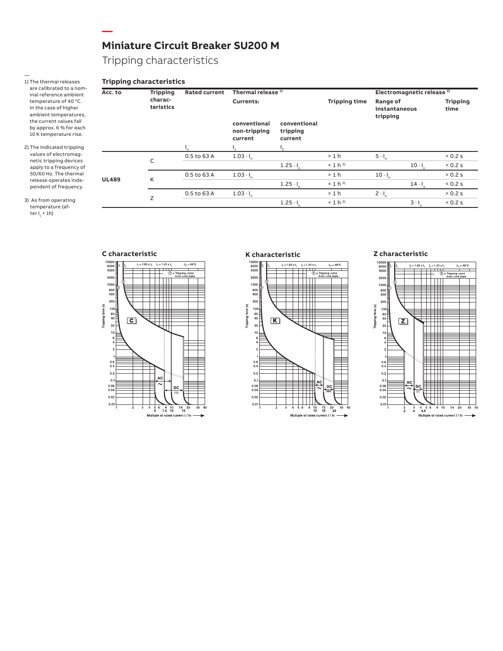Tripping characteristics

**—**

#### — 1) The thermal releases are calibrated to a nominal reference ambient temperature of 40 °C. In the case of higher ambient temperatures, the current values fall by approx. 6 % for each 10 K temperature rise.

2) The indicated tripping values of electromagnetic tripping devices apply to a frequency of 50/60 Hz. The thermal release operates independent of frequency.

3) As from operating temperature (after I<sub>1</sub> > 1h)

| <b>Tripping</b><br>Acc. to |           | Rated current | Thermal release <sup>1)</sup>           |                                     |                      |                                       | Electromagnetic release <sup>2)</sup> |                         |
|----------------------------|-----------|---------------|-----------------------------------------|-------------------------------------|----------------------|---------------------------------------|---------------------------------------|-------------------------|
| charac-                    | teristics |               | Currents:                               |                                     | <b>Tripping time</b> | Range of<br>instantaneous<br>tripping |                                       | <b>Tripping</b><br>time |
|                            |           |               | conventional<br>non-tripping<br>current | conventional<br>tripping<br>current |                      |                                       |                                       |                         |
|                            |           | ٠,            |                                         | ٠,                                  |                      |                                       |                                       |                         |
|                            | C         | 0.5 to 63 A   | $1.03 \cdot I_n$                        |                                     | >1 h                 | $5 \cdot I_n$                         |                                       | > 0.2 s                 |
|                            |           |               |                                         | $1.25 -$                            | $< 1 h^{3}$          |                                       | $10 -$                                | 0.2 s                   |
|                            | K         | 0.5 to 63 A   | $1.03 \cdot I_n$                        |                                     | >1 h                 | $10 - 1$                              |                                       | > 0.2 s                 |
| <b>UL489</b>               |           |               |                                         | $1.25 - 1$                          | $< 1 h^{3}$          |                                       | $14 \cdot I$                          | 0.2 s                   |
|                            |           | 0.5 to 63 A   | $1.03 \cdot I_n$                        |                                     | >1 h                 | $2 \cdot I_n$                         |                                       | > 0.2 s                 |
|                            | Z         |               |                                         | $1.25 -$                            | $< 1 h^{3}$          |                                       | $3 \cdot 1$                           | 0.2 s                   |







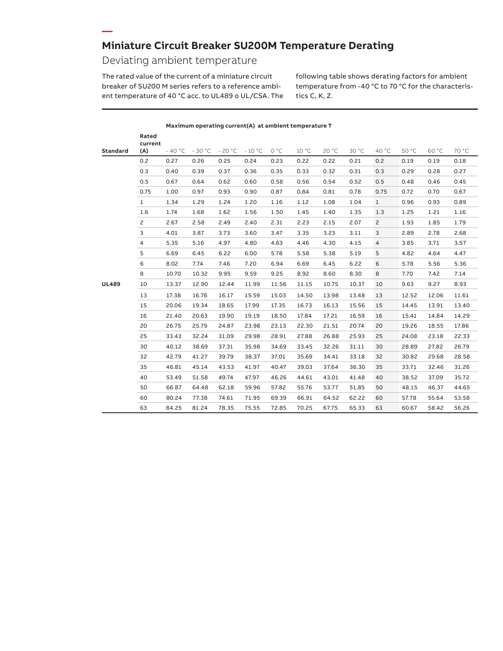### **Miniature Circuit Breaker SU200M Temperature Derating**

**Maximum operating current(A) at ambient temperature T**

### Deviating ambient temperature

**—**

The rated value of the current of a miniature circuit breaker of SU200 M series refers to a reference ambient temperature of 40 °C acc. to UL489 o UL/CSA. The following table shows derating factors for ambient temperature from -40 °C to 70 °C for the characteristics C, K, Z.

|              | Rated          |          |          |          |          |       |       |       |       |                |       |       |       |
|--------------|----------------|----------|----------|----------|----------|-------|-------|-------|-------|----------------|-------|-------|-------|
| Standard     | current<br>(A) | $-40 °C$ | $-30 °C$ | $-20 °C$ | $-10 °C$ | 0 °C  | 10 °C | 20 °C | 30 °C | 40 °C          | 50 °C | 60 °C | 70 °C |
|              | 0.2            | 0.27     | 0.26     | 0.25     | 0.24     | 0.23  | 0.22  | 0.22  | 0.21  | 0.2            | 0.19  | 0.19  | 0.18  |
|              | 0.3            | 0.40     | 0.39     | 0.37     | 0.36     | 0.35  | 0.33  | 0.32  | 0.31  | 0.3            | 0.29  | 0.28  | 0.27  |
|              | 0.5            | 0.67     | 0.64     | 0.62     | 0.60     | 0.58  | 0.56  | 0.54  | 0.52  | 0.5            | 0.48  | 0.46  | 0.45  |
|              | 0.75           | 1.00     | 0.97     | 0.93     | 0.90     | 0.87  | 0.84  | 0.81  | 0.78  | 0.75           | 0.72  | 0.70  | 0.67  |
|              | $\mathbf{1}$   | 1.34     | 1.29     | 1.24     | 1.20     | 1.16  | 1.12  | 1.08  | 1.04  | $\mathbf{1}$   | 0.96  | 0.93  | 0.89  |
|              | 1.6            | 1.74     | 1.68     | 1.62     | 1.56     | 1.50  | 1.45  | 1.40  | 1.35  | 1.3            | 1.25  | 1.21  | 1.16  |
|              | $\overline{c}$ | 2.67     | 2.58     | 2.49     | 2.40     | 2.31  | 2.23  | 2.15  | 2.07  | $\overline{c}$ | 1.93  | 1.85  | 1.79  |
|              | 3              | 4.01     | 3.87     | 3.73     | 3.60     | 3.47  | 3.35  | 3.23  | 3.11  | 3              | 2.89  | 2.78  | 2.68  |
|              | 4              | 5.35     | 5.16     | 4.97     | 4.80     | 4.63  | 4.46  | 4.30  | 4.15  | $\overline{4}$ | 3.85  | 3.71  | 3.57  |
|              | 5              | 6.69     | 6.45     | 6.22     | 6.00     | 5.78  | 5.58  | 5.38  | 5.19  | 5              | 4.82  | 4.64  | 4.47  |
|              | 6              | 8.02     | 7.74     | 7.46     | 7.20     | 6.94  | 6.69  | 6.45  | 6.22  | 6              | 5.78  | 5.56  | 5.36  |
|              | 8              | 10.70    | 10.32    | 9.95     | 9.59     | 9.25  | 8.92  | 8.60  | 8.30  | 8              | 7.70  | 7.42  | 7.14  |
| <b>UL489</b> | 10             | 13.37    | 12.90    | 12.44    | 11.99    | 11.56 | 11.15 | 10.75 | 10.37 | 10             | 9.63  | 9.27  | 8.93  |
|              | 13             | 17.38    | 16.76    | 16.17    | 15.59    | 15.03 | 14.50 | 13.98 | 13.48 | 13             | 12.52 | 12.06 | 11.61 |
|              | 15             | 20.06    | 19.34    | 18.65    | 17.99    | 17.35 | 16.73 | 16.13 | 15.56 | 15             | 14.45 | 13.91 | 13.40 |
|              | 16             | 21.40    | 20.63    | 19.90    | 19.19    | 18.50 | 17.84 | 17.21 | 16.59 | 16             | 15.41 | 14.84 | 14.29 |
|              | 20             | 26.75    | 25.79    | 24.87    | 23.98    | 23.13 | 22.30 | 21.51 | 20.74 | 20             | 19.26 | 18.55 | 17.86 |
|              | 25             | 33.43    | 32.24    | 31.09    | 29.98    | 28.91 | 27.88 | 26.88 | 25.93 | 25             | 24.08 | 23.18 | 22.33 |
|              | 30             | 40.12    | 38.69    | 37.31    | 35.98    | 34.69 | 33.45 | 32.26 | 31.11 | 30             | 28.89 | 27.82 | 26.79 |
|              | 32             | 42.79    | 41.27    | 39.79    | 38.37    | 37.01 | 35.69 | 34.41 | 33.18 | 32             | 30.82 | 29.68 | 28.58 |
|              | 35             | 46.81    | 45.14    | 43.53    | 41.97    | 40.47 | 39.03 | 37.64 | 36.30 | 35             | 33.71 | 32.46 | 31.26 |
|              | 40             | 53.49    | 51.58    | 49.74    | 47.97    | 46.26 | 44.61 | 43.01 | 41.48 | 40             | 38.52 | 37.09 | 35.72 |
|              | 50             | 66.87    | 64.48    | 62.18    | 59.96    | 57.82 | 55.76 | 53.77 | 51.85 | 50             | 48.15 | 46.37 | 44.65 |
|              | 60             | 80.24    | 77.38    | 74.61    | 71.95    | 69.39 | 66.91 | 64.52 | 62.22 | 60             | 57.78 | 55.64 | 53.58 |
|              | 63             | 84.25    | 81.24    | 78.35    | 75.55    | 72.85 | 70.25 | 67.75 | 65.33 | 63             | 60.67 | 58.42 | 56.26 |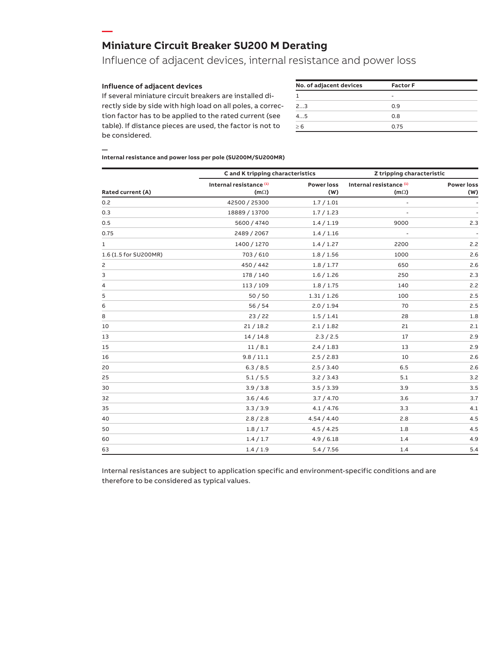#### **Miniature Circuit Breaker SU200 M Derating**

### Influence of adjacent devices, internal resistance and power loss

#### **Influence of adjacent devices**

**—**

If several miniature circuit breakers are installed directly side by side with high load on all poles, a correction factor has to be applied to the rated current (see table). If distance pieces are used, the factor is not to be considered.

| <b>Factor F</b> |  |
|-----------------|--|
|                 |  |
| 0.9             |  |
| 0.8             |  |
| 0.75            |  |
|                 |  |

#### **— Internal resistance and power loss per pole (SU200M/SU200MR)**

|                          | C and K tripping characteristics                  |                          | Z tripping characteristic              |                          |  |
|--------------------------|---------------------------------------------------|--------------------------|----------------------------------------|--------------------------|--|
| <b>Rated current (A)</b> | Internal resistance <sup>(1)</sup><br>$(m\Omega)$ | <b>Power loss</b><br>(W) | Internal resistance (1)<br>$(m\Omega)$ | <b>Power loss</b><br>(W) |  |
| 0.2                      | 42500 / 25300                                     | 1.7/1.01                 | $\overline{a}$                         |                          |  |
| 0.3                      | 18889 / 13700                                     | 1.7/1.23                 |                                        |                          |  |
| 0.5                      | 5600 / 4740                                       | 1.4 / 1.19               | 9000                                   | 2.3                      |  |
| 0.75                     | 2489 / 2067                                       | 1.4 / 1.16               | $\overline{a}$                         |                          |  |
| 1                        | 1400 / 1270                                       | 1.4 / 1.27               | 2200                                   | 2.2                      |  |
| 1.6 (1.5 for SU200MR)    | 703 / 610                                         | 1.8 / 1.56               | 1000                                   | 2.6                      |  |
| $\overline{c}$           | 450 / 442                                         | 1.8 / 1.77               | 650                                    | 2.6                      |  |
| 3                        | 178 / 140                                         | 1.6 / 1.26               | 250                                    | 2.3                      |  |
| 4                        | 113/109                                           | 1.8 / 1.75               | 140                                    | 2.2                      |  |
| 5                        | 50/50                                             | 1.31 / 1.26              | 100                                    | 2.5                      |  |
| 6                        | 56/54                                             | 2.0 / 1.94               | 70                                     | 2.5                      |  |
| 8                        | 23/22                                             | 1.5/1.41                 | 28                                     | 1.8                      |  |
| 10                       | 21/18.2                                           | 2.1 / 1.82               | 21                                     | 2.1                      |  |
| 13                       | 14/14.8                                           | 2.3 / 2.5                | 17                                     | 2.9                      |  |
| 15                       | 11/8.1                                            | 2.4 / 1.83               | 13                                     | 2.9                      |  |
| 16                       | 9.8 / 11.1                                        | 2.5 / 2.83               | 10                                     | 2.6                      |  |
| 20                       | 6.3 / 8.5                                         | 2.5 / 3.40               | 6.5                                    | 2.6                      |  |
| 25                       | 5.1 / 5.5                                         | 3.2 / 3.43               | 5.1                                    | 3.2                      |  |
| 30                       | 3.9 / 3.8                                         | 3.5 / 3.39               | 3.9                                    | 3.5                      |  |
| 32                       | 3.6 / 4.6                                         | 3.7 / 4.70               | 3.6                                    | 3.7                      |  |
| 35                       | 3.3 / 3.9                                         | 4.1 / 4.76               | 3.3                                    | 4.1                      |  |
| 40                       | 2.8 / 2.8                                         | 4.54 / 4.40              | 2.8                                    | 4.5                      |  |
| 50                       | 1.8 / 1.7                                         | 4.5 / 4.25               | 1.8                                    | 4.5                      |  |
| 60                       | 1.4/1.7                                           | 4.9 / 6.18               | 1.4                                    | 4.9                      |  |
| 63                       | 1.4/1.9                                           | 5.4 / 7.56               | 1.4                                    | 5.4                      |  |

Internal resistances are subject to application specific and environment-specific conditions and are therefore to be considered as typical values.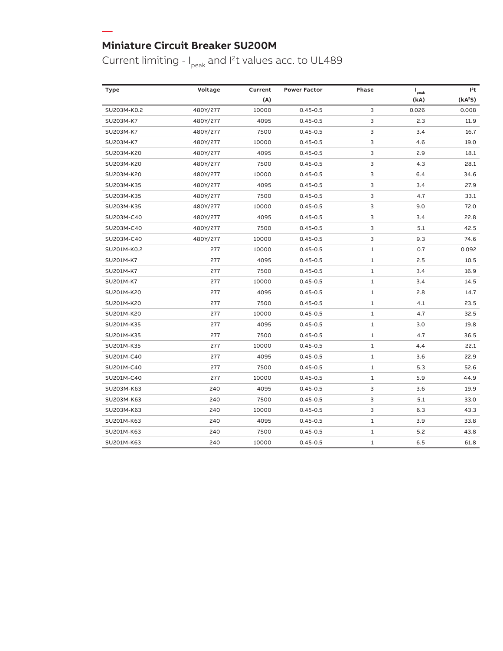**—**

Current limiting -  $I_{peak}$  and I<sup>2</sup>t values acc. to UL489

| <b>Type</b> | Voltage  | Current | <b>Power Factor</b> | <b>Phase</b> | $\mathbf{I}_{\text{peak}}$ | $l^2t$              |
|-------------|----------|---------|---------------------|--------------|----------------------------|---------------------|
|             |          | (A)     |                     |              | (kA)                       | (kA <sup>2</sup> S) |
| SU203M-K0.2 | 480Y/277 | 10000   | $0.45 - 0.5$        | 3            | 0.026                      | 0.008               |
| SU203M-K7   | 480Y/277 | 4095    | $0.45 - 0.5$        | 3            | 2.3                        | 11.9                |
| SU203M-K7   | 480Y/277 | 7500    | $0.45 - 0.5$        | 3            | 3.4                        | 16.7                |
| SU203M-K7   | 480Y/277 | 10000   | $0.45 - 0.5$        | 3            | 4.6                        | 19.0                |
| SU203M-K20  | 480Y/277 | 4095    | $0.45 - 0.5$        | 3            | 2.9                        | 18.1                |
| SU203M-K20  | 480Y/277 | 7500    | $0.45 - 0.5$        | 3            | 4.3                        | 28.1                |
| SU203M-K20  | 480Y/277 | 10000   | $0.45 - 0.5$        | 3            | 6.4                        | 34.6                |
| SU203M-K35  | 480Y/277 | 4095    | $0.45 - 0.5$        | 3            | 3.4                        | 27.9                |
| SU203M-K35  | 480Y/277 | 7500    | $0.45 - 0.5$        | 3            | 4.7                        | 33.1                |
| SU203M-K35  | 480Y/277 | 10000   | $0.45 - 0.5$        | 3            | 9.0                        | 72.0                |
| SU203M-C40  | 480Y/277 | 4095    | $0.45 - 0.5$        | 3            | 3.4                        | 22.8                |
| SU203M-C40  | 480Y/277 | 7500    | $0.45 - 0.5$        | 3            | 5.1                        | 42.5                |
| SU203M-C40  | 480Y/277 | 10000   | $0.45 - 0.5$        | 3            | 9.3                        | 74.6                |
| SU201M-K0.2 | 277      | 10000   | $0.45 - 0.5$        | $1\,$        | 0.7                        | 0.092               |
| SU201M-K7   | 277      | 4095    | $0.45 - 0.5$        | 1            | 2.5                        | 10.5                |
| SU201M-K7   | 277      | 7500    | $0.45 - 0.5$        | 1            | 3.4                        | 16.9                |
| SU201M-K7   | 277      | 10000   | $0.45 - 0.5$        | $\mathbf 1$  | 3.4                        | 14.5                |
| SU201M-K20  | 277      | 4095    | $0.45 - 0.5$        | 1            | 2.8                        | 14.7                |
| SU201M-K20  | 277      | 7500    | $0.45 - 0.5$        | 1            | 4.1                        | 23.5                |
| SU201M-K20  | 277      | 10000   | $0.45 - 0.5$        | 1            | 4.7                        | 32.5                |
| SU201M-K35  | 277      | 4095    | $0.45 - 0.5$        | 1            | 3.0                        | 19.8                |
| SU201M-K35  | 277      | 7500    | $0.45 - 0.5$        | 1            | 4.7                        | 36.5                |
| SU201M-K35  | 277      | 10000   | $0.45 - 0.5$        | $1\,$        | 4.4                        | 22.1                |
| SU201M-C40  | 277      | 4095    | $0.45 - 0.5$        | 1            | 3.6                        | 22.9                |
| SU201M-C40  | 277      | 7500    | $0.45 - 0.5$        | 1            | 5.3                        | 52.6                |
| SU201M-C40  | 277      | 10000   | $0.45 - 0.5$        | 1            | 5.9                        | 44.9                |
| SU203M-K63  | 240      | 4095    | $0.45 - 0.5$        | 3            | 3.6                        | 19.9                |
| SU203M-K63  | 240      | 7500    | $0.45 - 0.5$        | 3            | 5.1                        | 33.0                |
| SU203M-K63  | 240      | 10000   | $0.45 - 0.5$        | 3            | 6.3                        | 43.3                |
| SU201M-K63  | 240      | 4095    | $0.45 - 0.5$        | 1            | 3.9                        | 33.8                |
| SU201M-K63  | 240      | 7500    | $0.45 - 0.5$        | 1            | 5.2                        | 43.8                |
| SU201M-K63  | 240      | 10000   | $0.45 - 0.5$        | 1            | 6.5                        | 61.8                |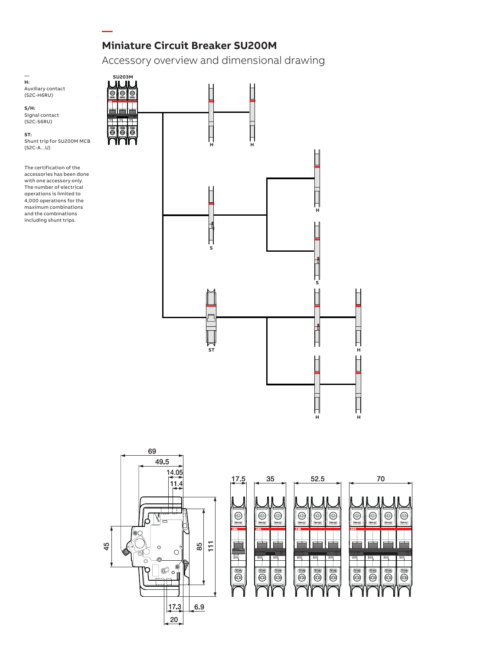Accessory overview and dimensional drawing

#### $\overline{\phantom{0}}$ **H:** Auxiliary contact (S2C-H6RU)

**S/H:** Signal contact (S2C-S6RU)

**ST:** Shunt trip for SU200M MCB (S2C-A...U)

**—**

The certification of the accessories has been done with one accessory only. The number of electrical operations is limited to 4,000 operations for the maximum combinations and the combinations including shunt trips.





| 35<br>17.5                                                                                       | 52.5                                                                        | 70                                                                                                             |
|--------------------------------------------------------------------------------------------------|-----------------------------------------------------------------------------|----------------------------------------------------------------------------------------------------------------|
| 63<br>Θ<br>Ŧ,<br><b>Janeto</b><br>(America)<br>40.00                                             | €<br>€<br>Ð<br><b>America</b><br>n an<br>America                            | ⊛<br>⊕<br>Ç.<br>⊕<br>Amro)<br>ورمية<br>Ten na<br>America                                                       |
| ABB<br>ABB<br>冒<br>œ                                                                             | ABB<br>冒<br>56                                                              | ABB<br>1 –                                                                                                     |
| $\overline{\text{max}}$<br>$\overline{\phantom{a}}$<br>$\overline{\phantom{a}}$<br>Ф,<br>₩<br>¥, | $\overline{\phantom{a}}$<br>$\overline{\phantom{a}}$<br>டை<br>Ģ,<br>⊕<br>Ф, | $\overline{a}$<br>$\overline{\phantom{a}}$<br>(au)<br>$\overline{C}$<br>$\mathbb{G}_\mathbb{P}$<br>æ<br>9<br>⊛ |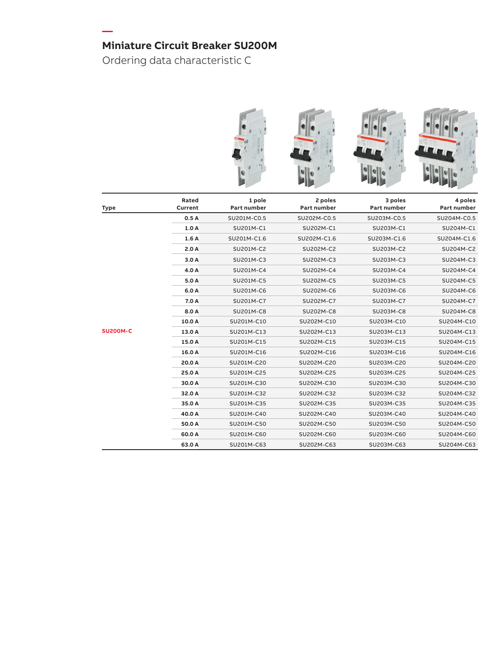Ordering data characteristic C

**—**



| <b>Type</b>     | Rated<br>Current | 1 pole<br>Part number | 2 poles<br>Part number | 3 poles<br>Part number | 4 poles<br>Part number |
|-----------------|------------------|-----------------------|------------------------|------------------------|------------------------|
|                 | 0.5A             | SU201M-C0.5           | SU202M-C0.5            | SU203M-C0.5            | SU204M-C0.5            |
|                 | 1.0A             | SU201M-C1             | SU202M-C1              | SU203M-C1              | SU204M-C1              |
|                 | 1.6A             | SU201M-C1.6           | SU202M-C1.6            | SU203M-C1.6            | SU204M-C1.6            |
|                 | 2.0A             | SU201M-C2             | SU202M-C2              | SU203M-C2              | SU204M-C2              |
|                 | 3.0A             | SU201M-C3             | SU202M-C3              | SU203M-C3              | SU204M-C3              |
|                 | 4.0 A            | SU201M-C4             | SU202M-C4              | SU203M-C4              | SU204M-C4              |
|                 | 5.0 A            | SU201M-C5             | SU202M-C5              | SU203M-C5              | SU204M-C5              |
|                 | 6.0 A            | SU201M-C6             | SU202M-C6              | SU203M-C6              | SU204M-C6              |
|                 | 7.0 A            | SU201M-C7             | SU202M-C7              | SU203M-C7              | SU204M-C7              |
|                 | 8.0 A            | SU201M-C8             | SU202M-C8              | SU203M-C8              | SU204M-C8              |
|                 | 10.0 A           | SU201M-C10            | SU202M-C10             | SU203M-C10             | SU204M-C10             |
| <b>SU200M-C</b> | 13.0 A           | SU201M-C13            | SU202M-C13             | SU203M-C13             | SU204M-C13             |
|                 | 15.0 A           | SU201M-C15            | SU202M-C15             | SU203M-C15             | SU204M-C15             |
|                 | 16.0 A           | SU201M-C16            | SU202M-C16             | SU203M-C16             | SU204M-C16             |
|                 | 20.0 A           | SU201M-C20            | SU202M-C20             | SU203M-C20             | SU204M-C20             |
|                 | 25.0 A           | SU201M-C25            | SU202M-C25             | SU203M-C25             | SU204M-C25             |
|                 | 30.0 A           | SU201M-C30            | SU202M-C30             | SU203M-C30             | SU204M-C30             |
|                 | 32.0 A           | SU201M-C32            | SU202M-C32             | SU203M-C32             | SU204M-C32             |
|                 | 35.0 A           | SU201M-C35            | SU202M-C35             | SU203M-C35             | SU204M-C35             |
|                 | 40.0 A           | SU201M-C40            | SU202M-C40             | SU203M-C40             | SU204M-C40             |
|                 | 50.0 A           | SU201M-C50            | SU202M-C50             | SU203M-C50             | SU204M-C50             |
|                 | 60.0 A           | SU201M-C60            | SU202M-C60             | SU203M-C60             | SU204M-C60             |
|                 | 63.0 A           | SU201M-C63            | SU202M-C63             | SU203M-C63             | SU204M-C63             |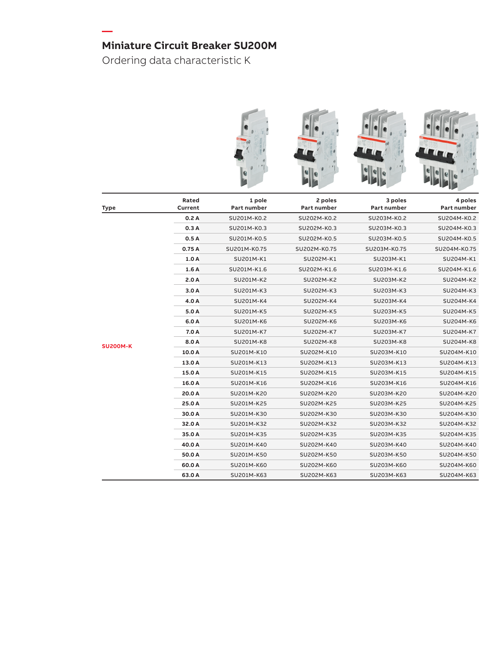Ordering data characteristic K

**—**



|                 | 0.5A   | SU201M-K0.5  | SU202M-K0.5  | SU203M-K0.5  | SU204M-K0.5  |
|-----------------|--------|--------------|--------------|--------------|--------------|
|                 | 0.75A  | SU201M-K0.75 | SU202M-K0.75 | SU203M-K0.75 | SU204M-K0.75 |
|                 | 1.0A   | SU201M-K1    | SU202M-K1    | SU203M-K1    | SU204M-K1    |
|                 | 1.6A   | SU201M-K1.6  | SU202M-K1.6  | SU203M-K1.6  | SU204M-K1.6  |
|                 | 2.0A   | SU201M-K2    | SU202M-K2    | SU203M-K2    | SU204M-K2    |
|                 | 3.0A   | SU201M-K3    | SU202M-K3    | SU203M-K3    | SU204M-K3    |
|                 | 4.0 A  | SU201M-K4    | SU202M-K4    | SU203M-K4    | SU204M-K4    |
|                 | 5.0 A  | SU201M-K5    | SU202M-K5    | SU203M-K5    | SU204M-K5    |
|                 | 6.0 A  | SU201M-K6    | SU202M-K6    | SU203M-K6    | SU204M-K6    |
|                 | 7.0 A  | SU201M-K7    | SU202M-K7    | SU203M-K7    | SU204M-K7    |
| <b>SU200M-K</b> | 8.0 A  | SU201M-K8    | SU202M-K8    | SU203M-K8    | SU204M-K8    |
|                 | 10.0 A | SU201M-K10   | SU202M-K10   | SU203M-K10   | SU204M-K10   |
|                 | 13.0 A | SU201M-K13   | SU202M-K13   | SU203M-K13   | SU204M-K13   |
|                 | 15.0 A | SU201M-K15   | SU202M-K15   | SU203M-K15   | SU204M-K15   |
|                 | 16.0 A | SU201M-K16   | SU202M-K16   | SU203M-K16   | SU204M-K16   |
|                 | 20.0 A | SU201M-K20   | SU202M-K20   | SU203M-K20   | SU204M-K20   |
|                 | 25.0 A | SU201M-K25   | SU202M-K25   | SU203M-K25   | SU204M-K25   |
|                 | 30.0 A | SU201M-K30   | SU202M-K30   | SU203M-K30   | SU204M-K30   |
|                 | 32.0 A | SU201M-K32   | SU202M-K32   | SU203M-K32   | SU204M-K32   |
|                 | 35.0 A | SU201M-K35   | SU202M-K35   | SU203M-K35   | SU204M-K35   |
|                 | 40.0 A | SU201M-K40   | SU202M-K40   | SU203M-K40   | SU204M-K40   |
|                 | 50.0 A | SU201M-K50   | SU202M-K50   | SU203M-K50   | SU204M-K50   |
|                 | 60.0A  | SU201M-K60   | SU202M-K60   | SU203M-K60   | SU204M-K60   |
|                 | 63.0 A | SU201M-K63   | SU202M-K63   | SU203M-K63   | SU204M-K63   |